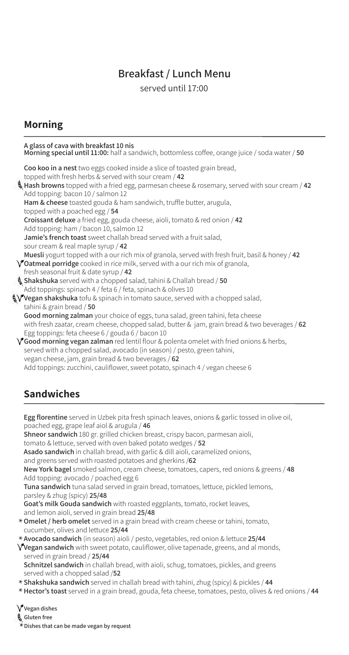# **Breakfast / Lunch Menu**

served until 17:00

## **Morning**

| A glass of cava with breakfast 10 nis<br>Morning special until 11:00: half a sandwich, bottomless coffee, orange juice / soda water / 50                                                              |
|-------------------------------------------------------------------------------------------------------------------------------------------------------------------------------------------------------|
| Coo koo in a nest two eggs cooked inside a slice of toasted grain bread,<br>topped with fresh herbs & served with sour cream / 42                                                                     |
| Hash browns topped with a fried egg, parmesan cheese & rosemary, served with sour cream / 42                                                                                                          |
|                                                                                                                                                                                                       |
| Add topping: bacon 10 / salmon 12                                                                                                                                                                     |
| Ham & cheese toasted gouda & ham sandwich, truffle butter, arugula,                                                                                                                                   |
| topped with a poached egg / 54                                                                                                                                                                        |
| Croissant deluxe a fried egg, gouda cheese, aioli, tomato & red onion / 42                                                                                                                            |
| Add topping: ham / bacon 10, salmon 12                                                                                                                                                                |
| Jamie's french toast sweet challah bread served with a fruit salad,                                                                                                                                   |
| sour cream & real maple syrup / 42                                                                                                                                                                    |
| Muesli yogurt topped with a our rich mix of granola, served with fresh fruit, basil & honey / 42<br>$\sqrt{\phantom{a}}$ Oatmeal porridge cooked in rice milk, served with a our rich mix of granola, |
| fresh seasonal fruit & date syrup / 42                                                                                                                                                                |
|                                                                                                                                                                                                       |
| Shakshuka served with a chopped salad, tahini & Challah bread / 50                                                                                                                                    |
| Add toppings: spinach 4 / feta 6 / feta, spinach & olives 10                                                                                                                                          |
| $\sqrt{\phantom{a}}$ Vegan shakshuka tofu & spinach in tomato sauce, served with a chopped salad,                                                                                                     |
| tahini & grain bread $/50$                                                                                                                                                                            |
| Good morning zalman your choice of eggs, tuna salad, green tahini, feta cheese                                                                                                                        |
| with fresh zaatar, cream cheese, chopped salad, butter & jam, grain bread & two beverages / 62                                                                                                        |
| Egg toppings: feta cheese 6 / gouda 6 / bacon 10                                                                                                                                                      |
| $\sqrt{\ }$ Good morning vegan zalman red lentil flour & polenta omelet with fried onions & herbs,                                                                                                    |
| served with a chopped salad, avocado (in season) / pesto, green tahini,                                                                                                                               |
| vegan cheese, jam, grain bread & two beverages / 62                                                                                                                                                   |
| Add toppings: zucchini, cauliflower, sweet potato, spinach 4 / vegan cheese 6                                                                                                                         |
|                                                                                                                                                                                                       |

# **Sandwiches**

Egg florentine served in Uzbek pita fresh spinach leaves, onions & garlic tossed in olive oil, poached egg, grape leaf aiol & arugula / 46

Shneor sandwich 180 gr. grilled chicken breast, crispy bacon, parmesan aioli,

tomato & lettuce, served with oven baked potato wedges / 52

Asado sandwich in challah bread, with garlic & dill aioli, caramelized onions,

and greens served with roasted potatoes and gherkins /62

 **New York bagel** smoked salmon, cream cheese, tomatoes, capers, red onions & greens / 48 Add topping: avocado / poached egg 6

Tuna sandwich tuna salad served in grain bread, tomatoes, lettuce, pickled lemons, parsley & zhug (spicy) 25/48

Goat's milk Gouda sandwich with roasted eggplants, tomato, rocket leaves, and lemon aioli, served in grain bread 25/48

\* **Omelet / herb omelet** served in a grain bread with cream cheese or tahini, tomato, cucumber, olives and lettuce 25/44

**\* Avocado sandwich** (in season) aioli / pesto, vegetables, red onion & lettuce 25/44<br>Alexan conduish with sweet potate, soulif sweet alive tenenede, averes, and al ma

**Y** Vegan sandwich with sweet potato, cauliflower, olive tapenade, greens, and al monds, served in grain bread / 25/44

Schnitzel sandwich in challah bread, with aioli, schug, tomatoes, pickles, and greens served with a chopped salad /52

- **\* Shakshuka sandwich** served in challah bread with tahini, zhug (spicy) & pickles / 44<br>\* Hactaric teach cancel in a grain bread, gaude, fate chases, terratore, norte aliuse *8*
- **\* Hector's toast** served in a grain bread, gouda, feta cheese, tomatoes, pesto, olives & red onions / <mark>44</mark>

 $\sqrt{\ }$  Vegan dishes

**free Gluten**

**\*** Dishes that can be made vegan by request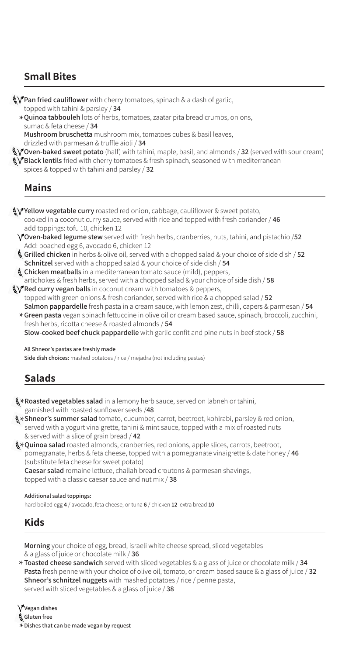# **Small Bites**

 $\sqrt[4]{\ }$ Pan fried cauliflower with cherry tomatoes, spinach & a dash of garlic, topped with tahini & parsley / 34

\***Quinoa tabbouleh** lots of herbs, tomatoes, zaatar pita bread crumbs, onions, sume & fote choose / **34** sumac & feta cheese / 34

Mushroom bruschetta mushroom mix, tomatoes cubes & basil leaves, drizzled with parmesan & truffle aioli / 34

 $\sqrt[4]{\text{Oven-baked sweet potato}}$  (half) with tahini, maple, basil, and almonds / **32** (served with sour cream)  $\sqrt[4]{}$  Black lentils fried with cherry tomatoes & fresh spinach, seasoned with mediterranean

spices & topped with tahini and parsley  $/32$ 

### **Mains**

Vellow vegetable curry roasted red onion, cabbage, cauliflower & sweet potato,  $\alpha$  / cooked in a coconut curry sauce, served with rice and topped with fresh coriander / 46 add toppings: tofu 10, chicken 12

- **7** Oven-baked legume stew served with fresh herbs, cranberries, nuts, tahini, and pistachio /52 Add: poached egg 6, avocado 6, chicken 12
- **§ Grilled chicken** in herbs & olive oil, served with a chopped salad & your choice of side dish / **52 Schnitzel** served with a chopped salad & your choice of side dish / 54
- **. Chicken meatballs** in a mediterranean tomato sauce (mild), peppers, artichokes & fresh herbs, served with a chopped salad & your choice of side dish / 58

 $\sqrt[3]{\ }$  **Red curry vegan balls** in coconut cream with tomatoes & peppers, topped with green onions & fresh coriander, served with rice & a chopped salad / 52 **Salmon pappardelle** fresh pasta in a cream sauce, with lemon zest, chilli, capers & parmesan / 54

\* Green pasta vegan spinach fettuccine in olive oil or cream based sauce, spinach, broccoli, zucchini, troch bash<br>froch barbs, ricotta choose & reasted almonds / **54** fresh herbs, ricotta cheese & roasted almonds / 54 **Slow-cooked beef chuck pappardelle** with garlic confit and pine nuts in beef stock / 58

All Shneor's pastas are freshly made

Side dish choices: mashed potatoes / rice / mejadra (not including pastas)

# **Salads**

\***Roasted vegetables salad** in a lemony herb sauce, served on labneh or tahini, garnished with roasted sunflower seeds /48

**\* Shneor's summer salad** tomato, cucumber, carrot, beetroot, kohlrabi, parsley & red onion,<br>conved with a voguet vinaigratte, tabini & mint sauce, tonned with a mix of reasted nuts served with a yogurt vinaigrette, tahini  $\&$  mint sauce, topped with a mix of roasted nuts & served with a slice of grain bread / 42

**\*Quinoa salad** roasted almonds, cranberries, red onions, apple slices, carrots, beetroot, apple such as a second with a nome reduced and have been appearanted between  $\ell$ , data hand **pomegranate, herbs & feta cheese, topped with a pomegranate vinaigrette & date honey / 46** (substitute feta cheese for sweet potato)

**Caesar salad** romaine lettuce, challah bread croutons & parmesan shavings, topped with a classic caesar sauce and nut  $mix / 38$ 

#### **Additional salad toppings:**

hard boiled egg 4 / avocado, feta cheese, or tuna 6 / chicken 12 extra bread 10

## **Kids**

Morning your choice of egg, bread, israeli white cheese spread, sliced vegetables & a glass of juice or chocolate milk / 36

**34 Toasted cheese sandwich** served with sliced vegetables & a glass of juice or chocolate milk / **34**<br>Pesta freeh nonno with your choice of glive ail, tempte, or cream based sauce & a glass of juice **Pasta** fresh penne with your choice of olive oil, tomato, or cream based sauce & a glass of juice / 32 **Shneor's schnitzel nuggets** with mashed potatoes / rice / penne pasta, served with sliced vegetables & a glass of juice / 38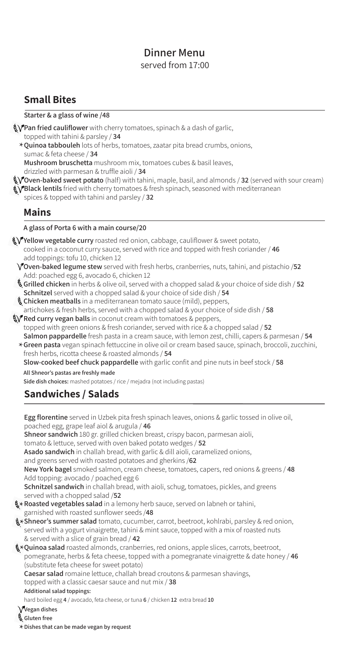### served from 17:00 **Dinner** Menu

## **Small Bites**

#### **Starter** & a glass of wine /48

**\\fran fried cauliflower** with cherry tomatoes, spinach & a dash of garlic, topped with tahini & parsley  $/$  34

\***Quinoa tabbouleh** lots of herbs, tomatoes, zaatar pita bread crumbs, onions, and the observed of the choses (24 sumac & feta cheese / **34** 

Mushroom bruschetta mushroom mix, tomatoes cubes & basil leaves,

drizzled with parmesan & truffle aioli / 34

 $\sqrt[3]{\text{Oven-baked sweet potato}}$  (half) with tahini, maple, basil, and almonds / **32** (served with sour cream)  $\sqrt[4]{}$ Black lentils fried with cherry tomatoes & fresh spinach, seasoned with mediterranean

spices & topped with tahini and parsley / 32

### **Mains**

#### A glass of Porta 6 with a main course/20

- V Yellow vegetable curry roasted red onion, cabbage, cauliflower & sweet potato, cooked in a coconut curry sauce, served with rice and topped with fresh coriander / 46 add toppings: tofu 10, chicken 12
- **7** Oven-baked legume stew served with fresh herbs, cranberries, nuts, tahini, and pistachio /52 Add: poached egg 6, avocado 6, chicken 12
- **§ Grilled chicken** in herbs & olive oil, served with a chopped salad & your choice of side dish / 52 **Schnitzel** served with a chopped salad & your choice of side dish / 54
- **...** Chicken meatballs in a mediterranean tomato sauce (mild), peppers, artichokes & fresh herbs, served with a chopped salad & your choice of side dish / 58
- **W** Red curry vegan balls in coconut cream with tomatoes & peppers, topped with green onions & fresh coriander, served with rice & a chopped salad / 52 **Salmon pappardelle** fresh pasta in a cream sauce, with lemon zest, chilli, capers & parmesan / 54
- \* Green pasta vegan spinach fettuccine in olive oil or cream based sauce, spinach, broccoli, zucchini, *froch* bashque isotta choose *i*n reasted almonds / **F4** fresh herbs, ricotta cheese & roasted almonds / 54

**Slow-cooked beef chuck pappardelle** with garlic confit and pine nuts in beef stock / 58 All Shneor's pastas are freshly made

Side dish choices: mashed potatoes / rice / mejadra (not including pastas)

# **Sandwiches / Salads**

Egg florentine served in Uzbek pita fresh spinach leaves, onions & garlic tossed in olive oil, poached egg, grape leaf aiol & arugula / 46

Shneor sandwich 180 gr. grilled chicken breast, crispy bacon, parmesan aioli,

tomato & lettuce, served with oven baked potato wedges / 52

Asado sandwich in challah bread, with garlic & dill aioli, caramelized onions,

and greens served with roasted potatoes and gherkins /62

 **New York bagel** smoked salmon, cream cheese, tomatoes, capers, red onions & greens / 48 Add topping: avocado / poached egg 6

**Schnitzel sandwich** in challah bread, with aioli, schug, tomatoes, pickles, and greens served with a chopped salad /52

- **\* Roasted vegetables salad** in a lemony herb sauce, served on labneh or tahini,<br>carnished with reasted sunflower soods (49 garnished with roasted sunflower seeds /48
- **\*Shneor's summer salad** tomato, cucumber, carrot, beetroot, kohlrabi, parsley & red onion,<br>Conved with a vegust vinaigratte, tabini & mint sauce, tonaed with a mix of reasted puts served with a yogurt vinaigrette, tahini & mint sauce, topped with a mix of roasted nuts & served with a slice of grain bread / 42
- **\*Quinoa salad** roasted almonds, cranberries, red onions, apple slices, carrots, beetroot,<br>romagganate, herbe & feta choose, tonned with a nomegganate vinaigratte & data hone **pomegranate, herbs & feta cheese, topped with a pomegranate vinaigrette & date honey / 46** (substitute feta cheese for sweet potato)
	- Caesar salad romaine lettuce, challah bread croutons & parmesan shavings,

#### topped with a classic caesar sauce and nut  $mix / 38$

#### **Additional salad toppings:**

hard boiled egg 4 / avocado, feta cheese, or tuna 6 / chicken 12 extra bread 10

- $\alpha$ Vegan dishes
- **free Gluten**
- $\star$  Dishes that can be made vegan by request<br>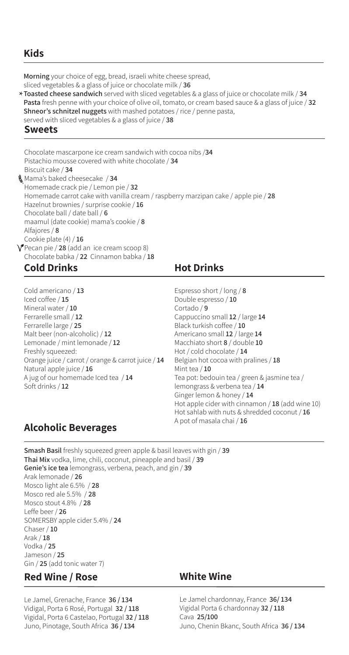## **Kids**

Morning your choice of egg, bread, israeli white cheese spread,

sliced vegetables & a glass of juice or chocolate milk / 36

**34/ Toasted cheese sandwich** served with sliced vegetables & a glass of juice or chocolate milk<br>Pasta froch penne with your choice of olive oil, tempte, or croam based sauce & a glass of juice **Pasta** fresh penne with your choice of olive oil, tomato, or cream based sauce & a glass of juice / 32 **Shneor's schnitzel nuggets** with mashed potatoes / rice / penne pasta, served with sliced vegetables & a glass of juice / 38

### **Sweets**

Chocolate mascarpone ice cream sandwich with cocoa nibs /34 Pistachio mousse covered with white chocolate / 34 **Biscuit cake / 34 Mama's baked cheesecake / 34** Homemade crack pie / Lemon pie / 32 Homemade carrot cake with vanilla cream / raspberry marzipan cake / apple pie / 28 Hazelnut brownies / surprise cookie / 16 Chocolate ball / date ball / 6 **maamul** (date cookie) mama's cookie / 8 **8** / Alfajores Cookie plate (4) / 16  $\sqrt{\ }$  Pecan pie / 28 (add an ice cream scoop 8) Chocolate babka / 22 Cinnamon babka / 18

# **Cold Drinks**

Cold americano / 13 **15** lced coffee / 15 Mineral water / 10 Ferrarelle small / 12 Ferrarelle large / 25 Malt beer (non-alcoholic) / 12 Lemonade / mint lemonade / 12 Freshly squeezed: Orange juice / carrot / orange & carrot juice / 14 Natural apple juice / 16 A jug of our homemade Iced tea / 14 Soft drinks / 12

## **Hot Drinks**

Espresso short / long / 8 Double espresso / 10 **9** / Cortado Cappuccino small 12 / large 14 **Black turkish coffee / 10** Americano small 12 / large 14 **Macchiato short 8** / double 10 Hot / cold chocolate / 14 **Belgian hot cocoa with pralines / 18** Mint tea  $/$  10 Tea pot: bedouin tea / green & jasmine tea / lemongrass & verbena tea / 14 Ginger lemon & honey / 14 Hot apple cider with cinnamon  $/$  18 (add wine 10) Hot sahlab with nuts & shredded coconut / 16 A pot of masala chai / 16

# **Beverages Alcoholic**

**Smash Basil** freshly squeezed green apple & basil leaves with gin / 39 Thai Mix vodka, lime, chili, coconut, pineapple and basil / 39 **Genie's ice tea** lemongrass, verbena, peach, and gin / 39 Arak lemonade / 26 Mosco light ale 6.5% / 28 Mosco red ale 5.5% / 28 **Mosco stout 4.8% / 28** Leffe beer / 26 SOMERSBY apple cider 5.4% / 24 Chaser / 10 **18** / Arak **25** / Vodka **25** / Jameson Gin / 25 (add tonic water 7)

# **Red Wine / Rose**

Le Jamel, Grenache, France 36 / 134 Vidigal, Porta 6 Rosé, Portugal 32 / 118 Vigidal, Porta 6 Castelao, Portugal 32 / 118 Juno, Pinotage, South Africa 36 / 134

## **Wine White**

Le Jamel chardonnay, France 36/134 Vigidal Porta 6 chardonnay 32 / 118 **25/100** Cava Juno, Chenin Bkanc, South Africa 36 / 134